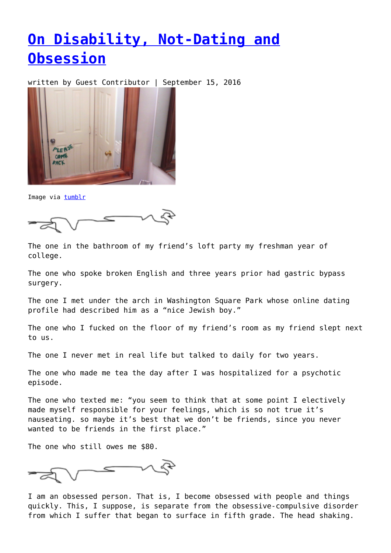## **[On Disability, Not-Dating and](https://entropymag.org/on-disability-not-dating-and-obsession/) [Obsession](https://entropymag.org/on-disability-not-dating-and-obsession/)**

written by Guest Contributor | September 15, 2016



Image via [tumblr](http://rlynotokay.tumblr.com/image/150048245031)

The one in the bathroom of my friend's loft party my freshman year of college.

The one who spoke broken English and three years prior had gastric bypass surgery.

The one I met under the arch in Washington Square Park whose online dating profile had described him as a "nice Jewish boy."

The one who I fucked on the floor of my friend's room as my friend slept next to us.

The one I never met in real life but talked to daily for two years.

The one who made me tea the day after I was hospitalized for a psychotic episode.

The one who texted me: "you seem to think that at some point I electively made myself responsible for your feelings, which is so not true it's nauseating. so maybe it's best that we don't be friends, since you never wanted to be friends in the first place."

The one who still owes me \$80.

I am an obsessed person. That is, I become obsessed with people and things quickly. This, I suppose, is separate from the obsessive-compulsive disorder from which I suffer that began to surface in fifth grade. The head shaking.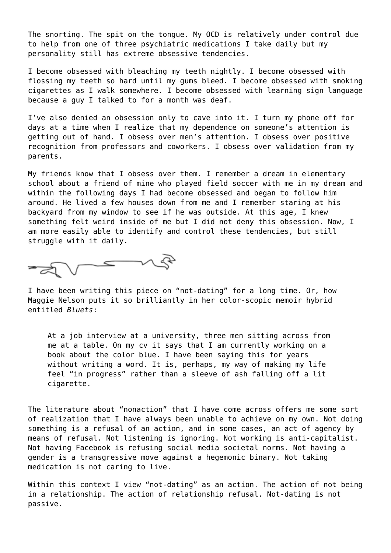The snorting. The spit on the tongue. My OCD is relatively under control due to help from one of three psychiatric medications I take daily but my personality still has extreme obsessive tendencies.

I become obsessed with bleaching my teeth nightly. I become obsessed with flossing my teeth so hard until my gums bleed. I become obsessed with smoking cigarettes as I walk somewhere. I become obsessed with learning sign language because a guy I talked to for a month was deaf.

I've also denied an obsession only to cave into it. I turn my phone off for days at a time when I realize that my dependence on someone's attention is getting out of hand. I obsess over men's attention. I obsess over positive recognition from professors and coworkers. I obsess over validation from my parents.

My friends know that I obsess over them. I remember a dream in elementary school about a friend of mine who played field soccer with me in my dream and within the following days I had become obsessed and began to follow him around. He lived a few houses down from me and I remember staring at his backyard from my window to see if he was outside. At this age, I knew something felt weird inside of me but I did not deny this obsession. Now, I am more easily able to identify and control these tendencies, but still struggle with it daily.



I have been writing this piece on "not-dating" for a long time. Or, how Maggie Nelson puts it so brilliantly in her color-scopic memoir hybrid entitled *Bluets*:

At a job interview at a university, three men sitting across from me at a table. On my cv it says that I am currently working on a book about the color blue. I have been saying this for years without writing a word. It is, perhaps, my way of making my life feel "in progress" rather than a sleeve of ash falling off a lit cigarette.

The literature about "nonaction" that I have come across offers me some sort of realization that I have always been unable to achieve on my own. Not doing something is a refusal of an action, and in some cases, an act of agency by means of refusal. Not listening is ignoring. Not working is anti-capitalist. Not having Facebook is refusing social media societal norms. Not having a gender is a transgressive move against a hegemonic binary. Not taking medication is not caring to live.

Within this context I view "not-dating" as an action. The action of not being in a relationship. The action of relationship refusal. Not-dating is not passive.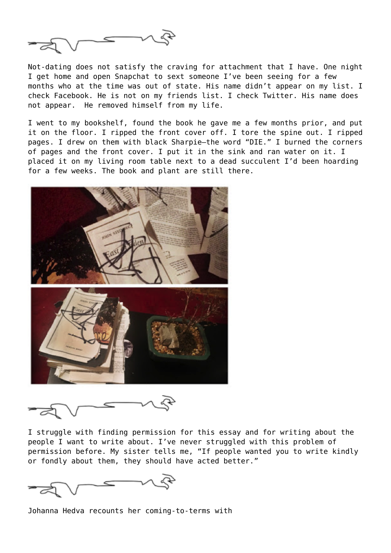

Not-dating does not satisfy the craving for attachment that I have. One night I get home and open Snapchat to sext someone I've been seeing for a few months who at the time was out of state. His name didn't appear on my list. I check Facebook. He is not on my friends list. I check Twitter. His name does not appear. He removed himself from my life.

I went to my bookshelf, found the book he gave me a few months prior, and put it on the floor. I ripped the front cover off. I tore the spine out. I ripped pages. I drew on them with black Sharpie—the word "DIE." I burned the corners of pages and the front cover. I put it in the sink and ran water on it. I placed it on my living room table next to a dead succulent I'd been hoarding for a few weeks. The book and plant are still there.



I struggle with finding permission for this essay and for writing about the people I want to write about. I've never struggled with this problem of permission before. My sister tells me, "If people wanted you to write kindly or fondly about them, they should have acted better."

Johanna Hedva recounts her coming-to-terms with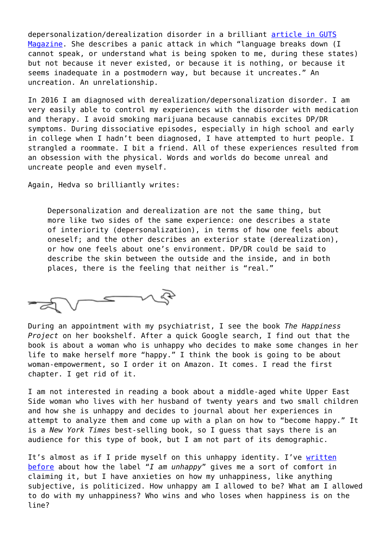depersonalization/derealization disorder in a brilliant [article in GUTS](http://gutsmagazine.ca/issue-six/in) [Magazine](http://gutsmagazine.ca/issue-six/in). She describes a panic attack in which "language breaks down (I cannot speak, or understand what is being spoken to me, during these states) but not because it never existed, or because it is nothing, or because it seems inadequate in a postmodern way, but because it uncreates." An uncreation. An unrelationship.

In 2016 I am diagnosed with derealization/depersonalization disorder. I am very easily able to control my experiences with the disorder with medication and therapy. I avoid smoking marijuana because cannabis excites DP/DR symptoms. During dissociative episodes, especially in high school and early in college when I hadn't been diagnosed, I have attempted to hurt people. I strangled a roommate. I bit a friend. All of these experiences resulted from an obsession with the physical. Words and worlds do become unreal and uncreate people and even myself.

Again, Hedva so brilliantly writes:

Depersonalization and derealization are not the same thing, but more like two sides of the same experience: one describes a state of interiority (depersonalization), in terms of how one feels about oneself; and the other describes an exterior state (derealization), or how one feels about one's environment. DP/DR could be said to describe the skin between the outside and the inside, and in both places, there is the feeling that neither is "real."

Commando

During an appointment with my psychiatrist, I see the book *The Happiness Project* on her bookshelf. After a quick Google search, I find out that the book is about a woman who is unhappy who decides to make some changes in her life to make herself more "happy." I think the book is going to be about woman-empowerment, so I order it on Amazon. It comes. I read the first chapter. I get rid of it.

I am not interested in reading a book about a middle-aged white Upper East Side woman who lives with her husband of twenty years and two small children and how she is unhappy and decides to journal about her experiences in attempt to analyze them and come up with a plan on how to "become happy." It is a *New York Times* best-selling book, so I guess that says there is an audience for this type of book, but I am not part of its demographic.

It's almost as if I pride myself on this unhappy identity. I've [written](http://www.unhappyblog.com/2016/08/unhappiness-as-identity.html) [before](http://www.unhappyblog.com/2016/08/unhappiness-as-identity.html) about how the label "*I am unhappy*" gives me a sort of comfort in claiming it, but I have anxieties on how my unhappiness, like anything subjective, is politicized. How unhappy am I allowed to be? What am I allowed to do with my unhappiness? Who wins and who loses when happiness is on the line?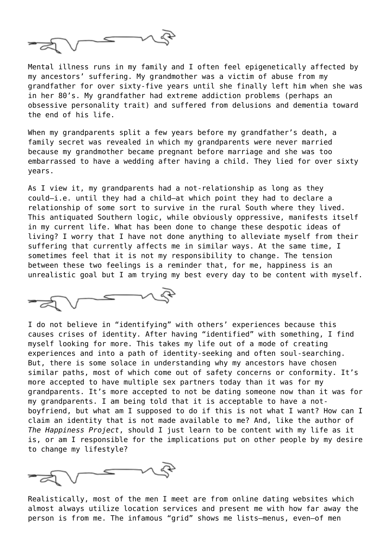

Mental illness runs in my family and I often feel epigenetically affected by my ancestors' suffering. My grandmother was a victim of abuse from my grandfather for over sixty-five years until she finally left him when she was in her 80's. My grandfather had extreme addiction problems (perhaps an obsessive personality trait) and suffered from delusions and dementia toward the end of his life.

When my grandparents split a few years before my grandfather's death, a family secret was revealed in which my grandparents were never married because my grandmother became pregnant before marriage and she was too embarrassed to have a wedding after having a child. They lied for over sixty years.

As I view it, my grandparents had a not-relationship as long as they could—i.e. until they had a child—at which point they had to declare a relationship of some sort to survive in the rural South where they lived. This antiquated Southern logic, while obviously oppressive, manifests itself in my current life. What has been done to change these despotic ideas of living? I worry that I have not done anything to alleviate myself from their suffering that currently affects me in similar ways. At the same time, I sometimes feel that it is not my responsibility to change. The tension between these two feelings is a reminder that, for me, happiness is an unrealistic goal but I am trying my best every day to be content with myself.



I do not believe in "identifying" with others' experiences because this causes crises of identity. After having "identified" with something, I find myself looking for more. This takes my life out of a mode of creating experiences and into a path of identity-seeking and often soul-searching. But, there is some solace in understanding why my ancestors have chosen similar paths, most of which come out of safety concerns or conformity. It's more accepted to have multiple sex partners today than it was for my grandparents. It's more accepted to not be dating someone now than it was for my grandparents. I am being told that it is acceptable to have a notboyfriend, but what am I supposed to do if this is not what I want? How can I claim an identity that is not made available to me? And, like the author of *The Happiness Project*, should I just learn to be content with my life as it is, or am I responsible for the implications put on other people by my desire to change my lifestyle?

 $\leq$ 

Realistically, most of the men I meet are from online dating websites which almost always utilize location services and present me with how far away the person is from me. The infamous "grid" shows me lists—menus, even—of men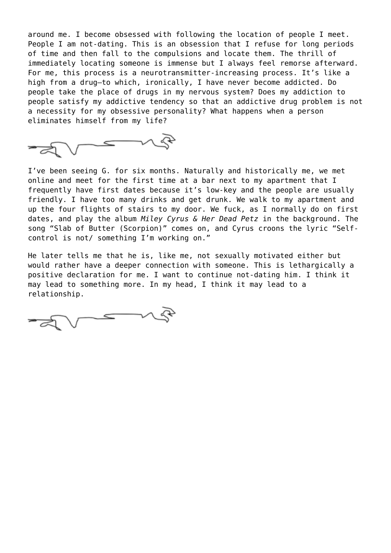around me. I become obsessed with following the location of people I meet. People I am not-dating. This is an obsession that I refuse for long periods of time and then fall to the compulsions and locate them. The thrill of immediately locating someone is immense but I always feel remorse afterward. For me, this process is a neurotransmitter-increasing process. It's like a high from a drug—to which, ironically, I have never become addicted. Do people take the place of drugs in my nervous system? Does my addiction to people satisfy my addictive tendency so that an addictive drug problem is not a necessity for my obsessive personality? What happens when a person eliminates himself from my life?



I've been seeing G. for six months. Naturally and historically me, we met online and meet for the first time at a bar next to my apartment that I frequently have first dates because it's low-key and the people are usually friendly. I have too many drinks and get drunk. We walk to my apartment and up the four flights of stairs to my door. We fuck, as I normally do on first dates, and play the album *Miley Cyrus & Her Dead Petz* in the background. The song "Slab of Butter (Scorpion)" comes on, and Cyrus croons the lyric "Selfcontrol is not/ something I'm working on."

He later tells me that he is, like me, not sexually motivated either but would rather have a deeper connection with someone. This is lethargically a positive declaration for me. I want to continue not-dating him. I think it may lead to something more. In my head, I think it may lead to a relationship.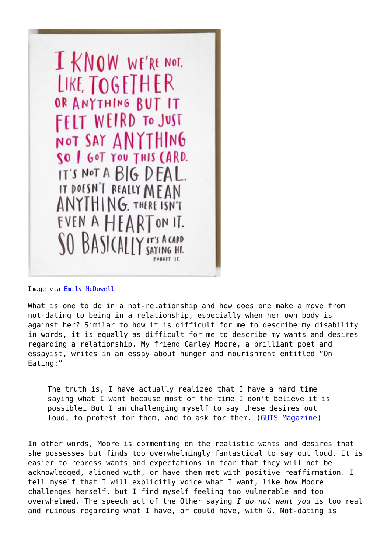

Image via **Emily McDowell** 

What is one to do in a not-relationship and how does one make a move from not-dating to being in a relationship, especially when her own body is against her? Similar to how it is difficult for me to describe my disability in words, it is equally as difficult for me to describe my wants and desires regarding a relationship. My friend Carley Moore, a brilliant poet and essayist, writes in an essay about hunger and nourishment entitled "On Eating:"

The truth is, I have actually realized that I have a hard time saying what I want because most of the time I don't believe it is possible… But I am challenging myself to say these desires out loud, to protest for them, and to ask for them. ([GUTS Magazine](http://gutsmagazine.ca/blog/on-eating))

In other words, Moore is commenting on the realistic wants and desires that she possesses but finds too overwhelmingly fantastical to say out loud. It is easier to repress wants and expectations in fear that they will not be acknowledged, aligned with, or have them met with positive reaffirmation. I tell myself that I will explicitly voice what I want, like how Moore challenges herself, but I find myself feeling too vulnerable and too overwhelmed. The speech act of the Other saying *I do not want you* is too real and ruinous regarding what I have, or could have, with G. Not-dating is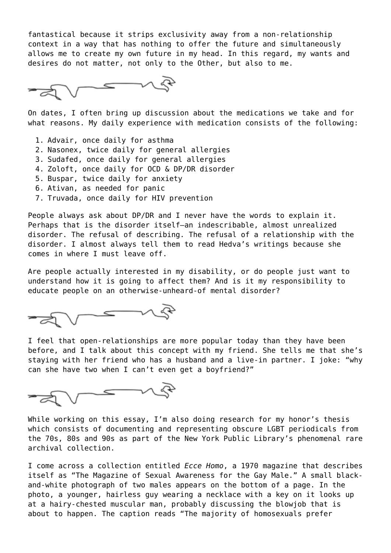fantastical because it strips exclusivity away from a non-relationship context in a way that has nothing to offer the future and simultaneously allows me to create my own future in my head. In this regard, my wants and desires do not matter, not only to the Other, but also to me.

On dates, I often bring up discussion about the medications we take and for what reasons. My daily experience with medication consists of the following:

- 1. Advair, once daily for asthma
- 2. Nasonex, twice daily for general allergies
- 3. Sudafed, once daily for general allergies
- 4. Zoloft, once daily for OCD & DP/DR disorder
- 5. Buspar, twice daily for anxiety
- 6. Ativan, as needed for panic
- 7. Truvada, once daily for HIV prevention

People always ask about DP/DR and I never have the words to explain it. Perhaps that is the disorder itself—an indescribable, almost unrealized disorder. The refusal of describing. The refusal of a relationship with the disorder. I almost always tell them to read Hedva's writings because she comes in where I must leave off.

Are people actually interested in my disability, or do people just want to understand how it is going to affect them? And is it my responsibility to educate people on an otherwise-unheard-of mental disorder?

I feel that open-relationships are more popular today than they have been before, and I talk about this concept with my friend. She tells me that she's staying with her friend who has a husband and a live-in partner. I joke: "why can she have two when I can't even get a boyfriend?"



While working on this essay, I'm also doing research for my honor's thesis which consists of documenting and representing obscure LGBT periodicals from the 70s, 80s and 90s as part of the New York Public Library's phenomenal rare archival collection.

I come across a collection entitled *Ecce Homo*, a 1970 magazine that describes itself as "The Magazine of Sexual Awareness for the Gay Male." A small blackand-white photograph of two males appears on the bottom of a page. In the photo, a younger, hairless guy wearing a necklace with a key on it looks up at a hairy-chested muscular man, probably discussing the blowjob that is about to happen. The caption reads "The majority of homosexuals prefer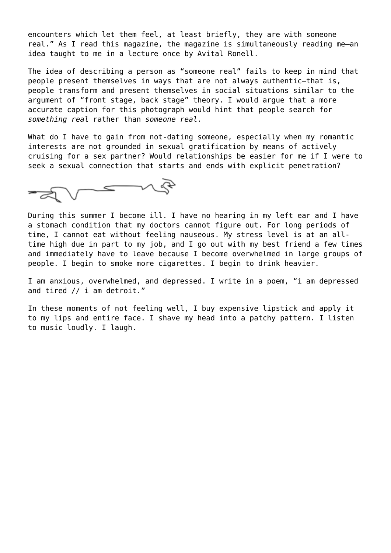encounters which let them feel, at least briefly, they are with someone real." As I read this magazine, the magazine is simultaneously reading me—an idea taught to me in a lecture once by Avital Ronell.

The idea of describing a person as "someone real" fails to keep in mind that people present themselves in ways that are not always authentic—that is, people transform and present themselves in social situations similar to the argument of "front stage, back stage" theory. I would argue that a more accurate caption for this photograph would hint that people search for *something real* rather than *someone real*.

What do I have to gain from not-dating someone, especially when my romantic interests are not grounded in sexual gratification by means of actively cruising for a sex partner? Would relationships be easier for me if I were to seek a sexual connection that starts and ends with explicit penetration?



During this summer I become ill. I have no hearing in my left ear and I have a stomach condition that my doctors cannot figure out. For long periods of time, I cannot eat without feeling nauseous. My stress level is at an alltime high due in part to my job, and I go out with my best friend a few times and immediately have to leave because I become overwhelmed in large groups of people. I begin to smoke more cigarettes. I begin to drink heavier.

I am anxious, overwhelmed, and depressed. I write in a poem, "i am depressed and tired // i am detroit."

In these moments of not feeling well, I buy expensive lipstick and apply it to my lips and entire face. I shave my head into a patchy pattern. I listen to music loudly. I laugh.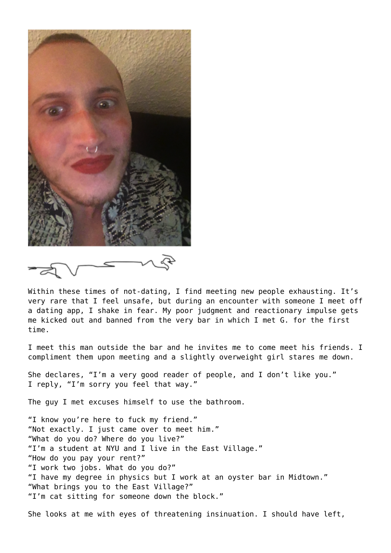

 $\approx$ 

Within these times of not-dating, I find meeting new people exhausting. It's very rare that I feel unsafe, but during an encounter with someone I meet off a dating app, I shake in fear. My poor judgment and reactionary impulse gets me kicked out and banned from the very bar in which I met G. for the first time.

I meet this man outside the bar and he invites me to come meet his friends. I compliment them upon meeting and a slightly overweight girl stares me down.

She declares, "I'm a very good reader of people, and I don't like you." I reply, "I'm sorry you feel that way."

The guy I met excuses himself to use the bathroom.

"I know you're here to fuck my friend." "Not exactly. I just came over to meet him." "What do you do? Where do you live?" "I'm a student at NYU and I live in the East Village." "How do you pay your rent?" "I work two jobs. What do you do?" "I have my degree in physics but I work at an oyster bar in Midtown." "What brings you to the East Village?" "I'm cat sitting for someone down the block."

She looks at me with eyes of threatening insinuation. I should have left,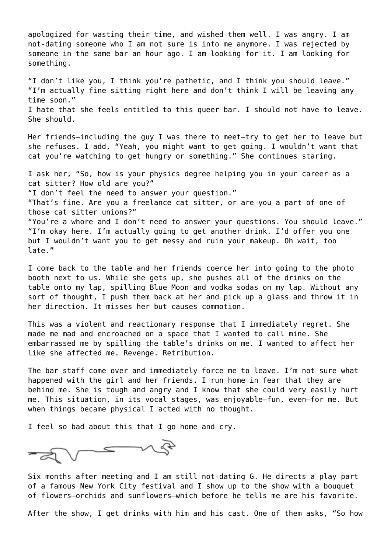apologized for wasting their time, and wished them well. I was angry. I am not-dating someone who I am not sure is into me anymore. I was rejected by someone in the same bar an hour ago. I am looking for it. I am looking for something. "I don't like you, I think you're pathetic, and I think you should leave." "I'm actually fine sitting right here and don't think I will be leaving any time soon." I hate that she feels entitled to this queer bar. I should not have to leave. She should. Her friends—including the guy I was there to meet—try to get her to leave but she refuses. I add, "Yeah, you might want to get going. I wouldn't want that cat you're watching to get hungry or something." She continues staring. I ask her, "So, how is your physics degree helping you in your career as a cat sitter? How old are you?" "I don't feel the need to answer your question." "That's fine. Are you a freelance cat sitter, or are you a part of one of those cat sitter unions?" "You're a whore and I don't need to answer your questions. You should leave." "I'm okay here. I'm actually going to get another drink. I'd offer you one but I wouldn't want you to get messy and ruin your makeup. Oh wait, too late."

I come back to the table and her friends coerce her into going to the photo booth next to us. While she gets up, she pushes all of the drinks on the table onto my lap, spilling Blue Moon and vodka sodas on my lap. Without any sort of thought, I push them back at her and pick up a glass and throw it in her direction. It misses her but causes commotion.

This was a violent and reactionary response that I immediately regret. She made me mad and encroached on a space that I wanted to call mine. She embarrassed me by spilling the table's drinks on me. I wanted to affect her like she affected me. Revenge. Retribution.

The bar staff come over and immediately force me to leave. I'm not sure what happened with the girl and her friends. I run home in fear that they are behind me. She is tough and angry and I know that she could very easily hurt me. This situation, in its vocal stages, was enjoyable—fun, even—for me. But when things became physical I acted with no thought.

I feel so bad about this that I go home and cry.

 $\overline{\phantom{a}}$ 

Six months after meeting and I am still not-dating G. He directs a play part of a famous New York City festival and I show up to the show with a bouquet of flowers—orchids and sunflowers—which before he tells me are his favorite.

After the show, I get drinks with him and his cast. One of them asks, "So how